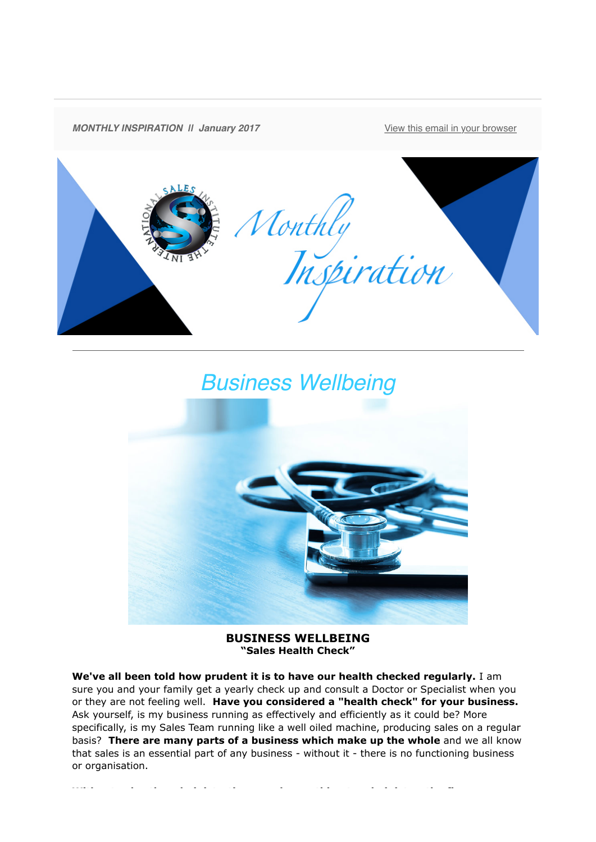

## *Business Wellbeing*



**BUSINESS WELLBEING "Sales Health Check"**

**We've all been told how prudent it is to have our health checked regularly.** I am sure you and your family get a yearly check up and consult a Doctor or Specialist when you or they are not feeling well. **Have you considered a "health check" for your business.** Ask yourself, is my business running as effectively and efficiently as it could be? More specifically, is my Sales Team running like a well oiled machine, producing sales on a regular basis? **There are many parts of a business which make up the whole** and we all know that sales is an essential part of any business - without it - there is no functioning business or organisation.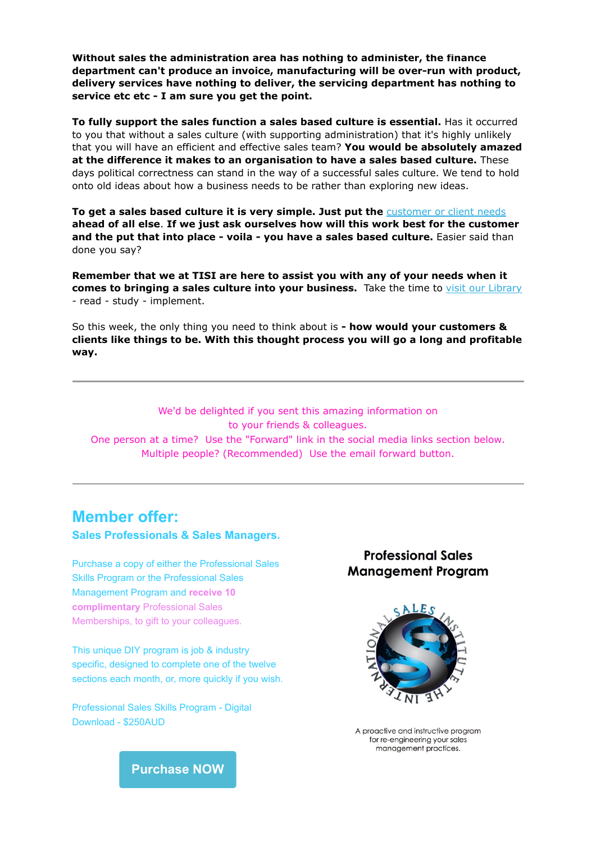**Without sales the administration area has nothing to administer, the finance department can't produce an invoice, manufacturing will be over-run with product, delivery services have nothing to deliver, the servicing department has nothing to service etc etc - I am sure you get the point.**

**To fully support the sales function a sales based culture is essential.** Has it occurred to you that without a sales culture (with supporting administration) that it's highly unlikely that you will have an efficient and effective sales team? **You would be absolutely amazed at the difference it makes to an organisation to have a sales based culture.** These days political correctness can stand in the way of a successful sales culture. We tend to hold onto old ideas about how a business needs to be rather than exploring new ideas.

To get a sales based culture it is very simple. Just put the **[customer or client needs](http://theinternationalsalesinstitute.us11.list-manage1.com/track/click?u=933b80e7a2e18bb216f31e81e&id=eb124bcc71&e=9f87e78b41) ahead of all else**. **If we just ask ourselves how will this work best for the customer** and the put that into place - voila - you have a sales based culture. Easier said than done you say?

**Remember that we at TISI are here to assist you with any of your needs when it comes to bringing a sales culture into your business.** Take the time to [visit our Library](http://theinternationalsalesinstitute.us11.list-manage1.com/track/click?u=933b80e7a2e18bb216f31e81e&id=86bcb3717e&e=9f87e78b41) - read - study - implement.

So this week, the only thing you need to think about is **- how would your customers & clients like things to be. With this thought process you will go a long and profitable way.**

We'd be delighted if you sent this amazing information on to your friends & colleagues. One person at a time? Use the "Forward" link in the social media links section below. Multiple people? (Recommended) Use the email forward button.

## **Member offer: Sales Professionals & Sales Managers.**

Purchase a copy of either the Professional Sales Skills Program or the Professional Sales Management Program and **receive 10 complimentary** Professional Sales Memberships, to gift to your colleagues.

This unique DIY program is job & industry specific, designed to complete one of the twelve sections each month, or, more quickly if you wish.

Professional Sales Skills Program - Digital Download - \$250AUD

## **Professional Sales Management Program**



A proactive and instructive proaram for re-engineering your sales management practices.

**[Purchase NOW](http://theinternationalsalesinstitute.us11.list-manage1.com/track/click?u=933b80e7a2e18bb216f31e81e&id=5d7da248a3&e=9f87e78b41)**